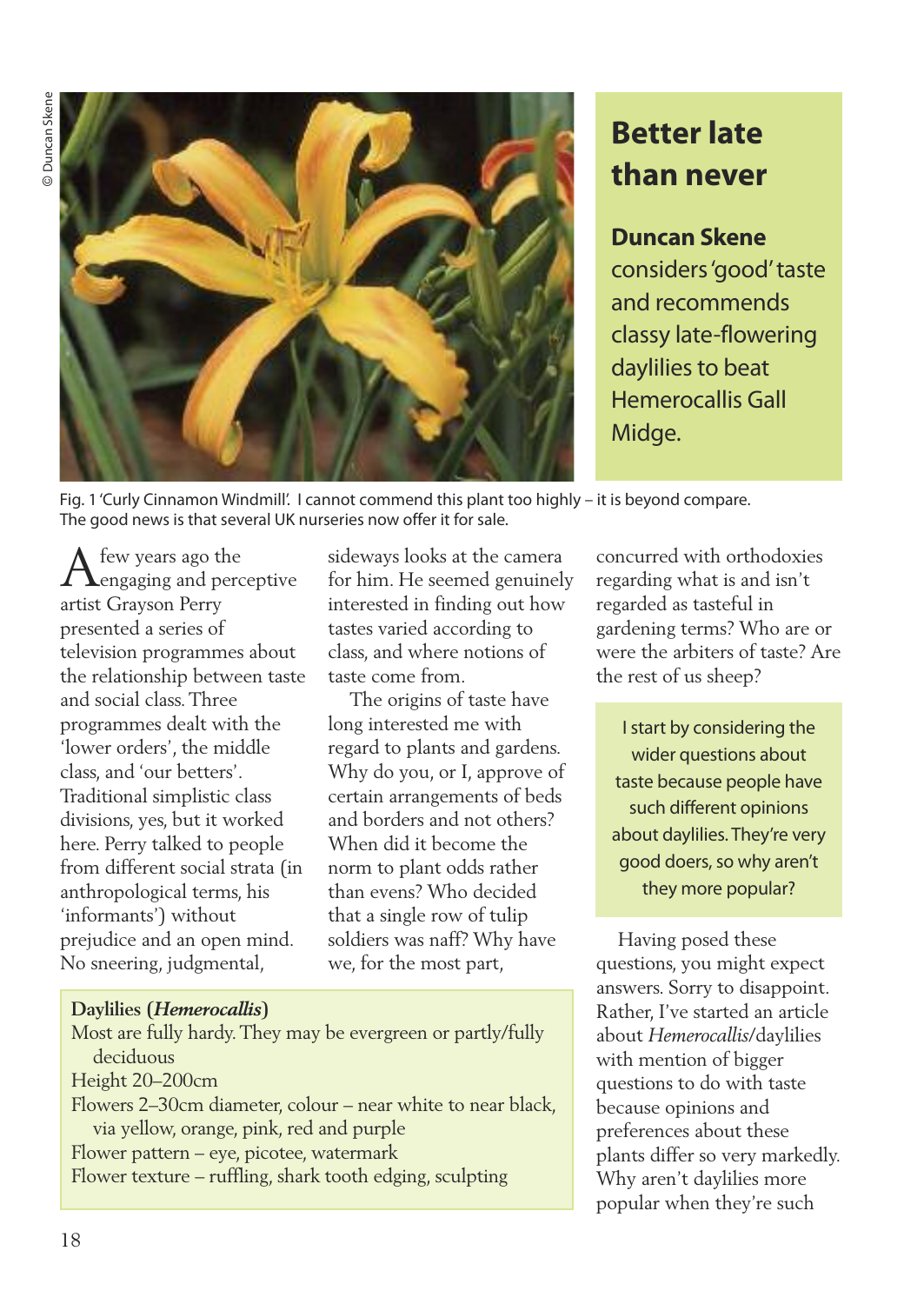**Duncan Skene** Duncan Skene



# **Better late than never**

## **Duncan Skene**

considers'good'taste and recommends classy late-flowering daylilies to beat Hemerocallis Gall Midge.

Fig. 1 'Curly Cinnamon Windmill'. I cannot commend this plant too highly – it is beyond compare. The good news is that several UK nurseries now offer it for sale.

 ${\displaystyle \bigwedge_{\text{engaging and perceptive}}}$ artist Grayson Perry presented a series of television programmes about the relationship between taste and social class.Three programmes dealt with the 'lower orders', the middle class, and 'our betters'. Traditional simplistic class divisions, yes, but it worked here. Perry talked to people from different social strata (in anthropological terms, his 'informants') without prejudice and an open mind. No sneering, judgmental,

sideways looks at the camera for him. He seemed genuinely interested in finding out how tastes varied according to class, and where notions of taste come from.

The origins of taste have long interested me with regard to plants and gardens. Why do you, or I, approve of certain arrangements of beds and borders and not others? When did it become the norm to plant odds rather than evens? Who decided that a single row of tulip soldiers was naff? Why have we, for the most part,

concurred with orthodoxies regarding what is and isn't regarded as tasteful in gardening terms? Who are or were the arbiters of taste? Are the rest of us sheep?

Istart by considering the wider questions about taste because people have such different opinions about daylilies. They're very good doers, so why aren't they more popular?

Having posed these questions, you might expect answers. Sorry to disappoint. Rather, I've started an article about *Hemerocallis*/daylilies with mention of bigger questions to do with taste because opinions and preferences about these plants differ so very markedly. Why aren't daylilies more popular when they're such

## **Daylilies (***Hemerocallis***)**

Most are fully hardy.They may be evergreen or partly/fully deciduous

- Height 20–200cm
- Flowers 2–30cm diameter, colour near white to near black, via yellow, orange, pink, red and purple

Flower pattern – eye, picotee, watermark

Flower texture – ruffling, shark tooth edging, sculpting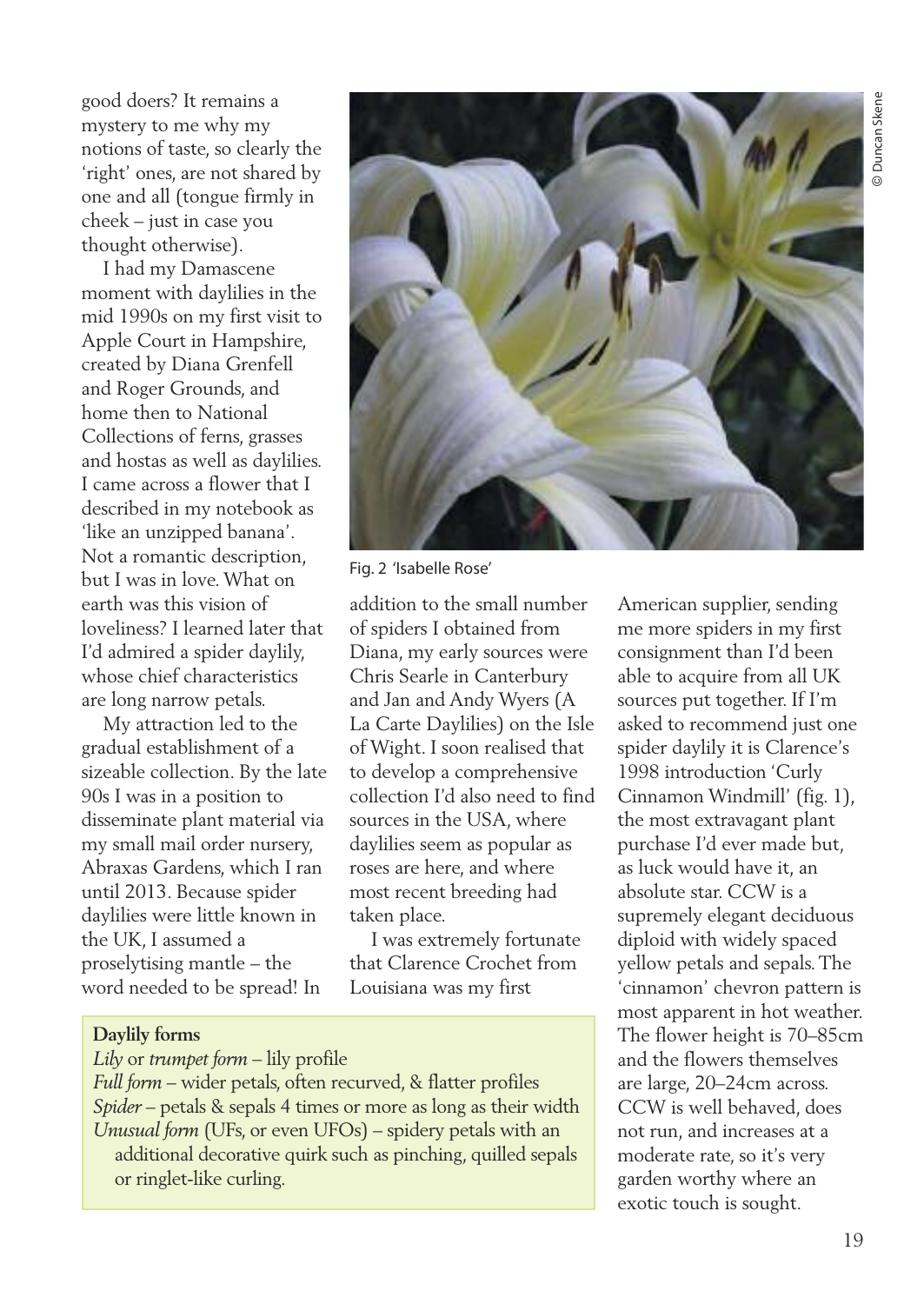good doers? It remains a mystery to me why my notions of taste, so clearly the 'right' ones, are not shared by one and all (tongue firmly in cheek – just in case you thought otherwise).

I had my Damascene moment with daylilies in the mid 1990s on my first visit to Apple Court in Hampshire, created by Diana Grenfell and Roger Grounds, and home then to National Collections of ferns, grasses and hostas as well as daylilies. I came across a flower that I described in my notebook as 'like an unzipped banana'. Not a romantic description, but I was in love.What on earth was this vision of loveliness? I learned later that I'd admired a spider daylily, whose chief characteristics are long narrow petals.

My attraction led to the gradual establishment of a sizeable collection. By the late 90s I was in a position to disseminate plant material via my small mail order nursery, Abraxas Gardens, which I ran until 2013. Because spider daylilies were little known in the UK, I assumed a proselytising mantle – the word needed to be spread! In



Fig. 2 'Isabelle Rose'

addition to the small number of spiders I obtained from Diana, my early sources were Chris Searle in Canterbury and Jan and Andy Wyers (A La Carte Daylilies) on the Isle of Wight. I soon realised that to develop a comprehensive collection I'd also need to find sources in the USA, where daylilies seem as popular as roses are here, and where most recent breeding had taken place.

I was extremely fortunate that Clarence Crochet from Louisiana was my first

### **Daylily forms**

#### *Lily* or *trumpet form* – lily profile

*Full form* – wider petals, often recurved, & flatter profiles *Spider* – petals & sepals 4 times or more as long as their width *Unusual form* (UFs, or even UFOs) – spidery petals with an additional decorative quirk such as pinching, quilled sepals or ringlet-like curling.

American supplier, sending me more spiders in my first consignment than I'd been able to acquire from all UK sources put together. If I'm asked to recommend just one spider daylily it is Clarence's 1998 introduction 'Curly Cinnamon Windmill' (fig. 1), the most extravagant plant purchase I'd ever made but, as luck would have it, an absolute star. CCW is a supremely elegant deciduous diploid with widely spaced yellow petals and sepals.The 'cinnamon' chevron pattern is most apparent in hot weather. The flower height is 70–85cm and the flowers themselves are large, 20–24cm across. CCW is well behaved, does not run, and increases at a moderate rate, so it's very garden worthy where an exotic touch is sought.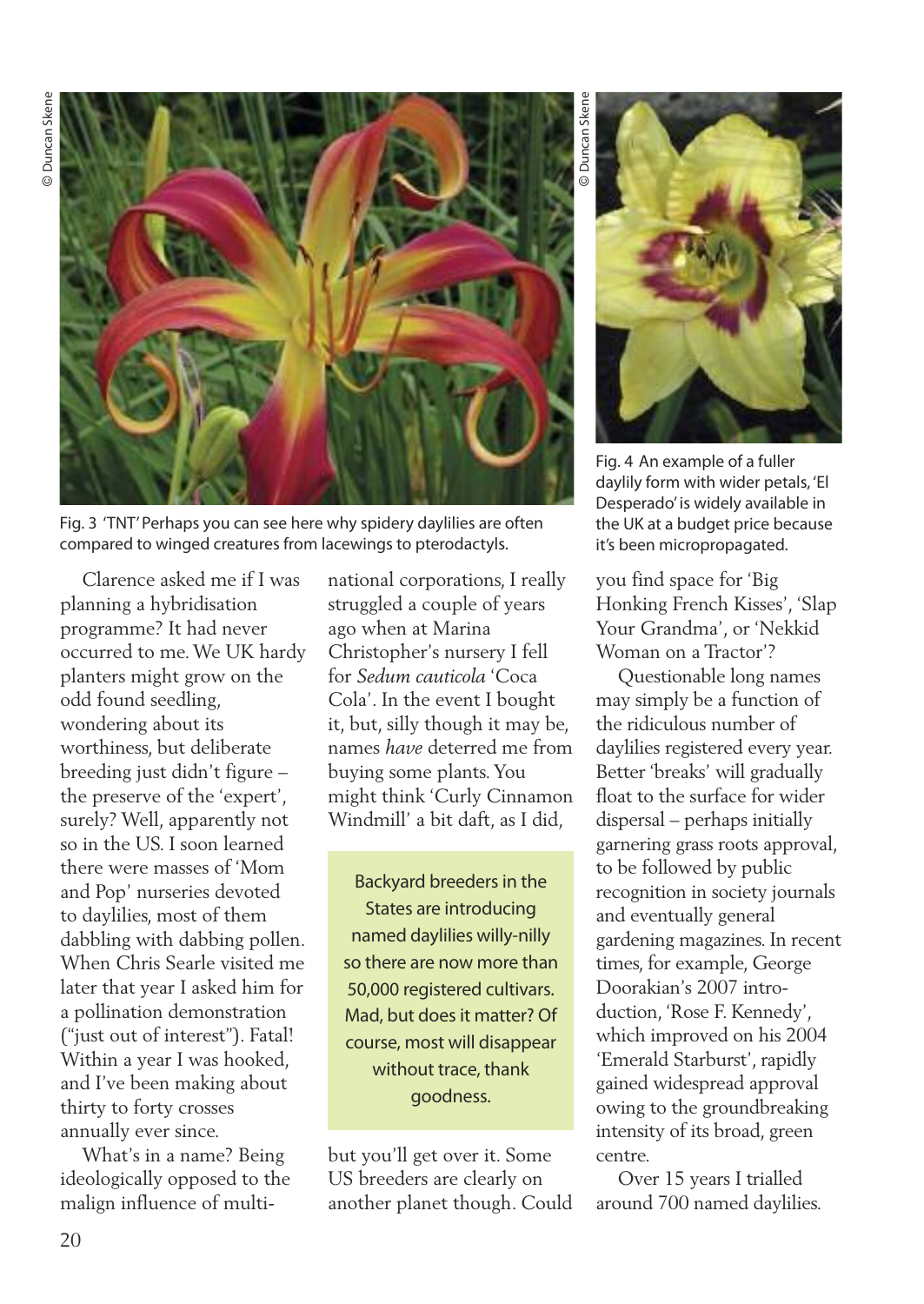

Fig. 3 'TNT'Perhaps you can see here why spidery daylilies are often compared to winged creatures from lacewings to pterodactyls.

Clarence asked me if I was planning a hybridisation programme? It had never occurred to me.We UK hardy planters might grow on the odd found seedling, wondering about its worthiness, but deliberate breeding just didn't figure – the preserve of the 'expert', surely? Well, apparently not so in the US. I soon learned there were masses of 'Mom and Pop' nurseries devoted to daylilies, most of them dabbling with dabbing pollen. When Chris Searle visited me later that year I asked him for a pollination demonstration ("just out of interest"). Fatal! Within a year I was hooked, and I've been making about thirty to forty crosses annually ever since.

What's in a name? Being ideologically opposed to the malign influence of multinational corporations, I really struggled a couple of years ago when at Marina Christopher's nursery I fell for *Sedum cauticola* 'Coca Cola'. In the event I bought it, but, silly though it may be, names *have* deterred me from buying some plants.You might think 'Curly Cinnamon Windmill' a bit daft, as I did,

Backyard breeders in the States are introducing named daylilies willy-nilly so there are now more than 50,000 registered cultivars. Mad, but does it matter? Of course, most will disappear without trace, thank goodness.

but you'll get over it. Some US breeders are clearly on another planet though. Could

 Duncan Skene Duncan Sken ©



Fig. 4 An example of a fuller daylily form with wider petals, 'El Desperado' is widely available in the UK at a budget price because it's been micropropagated.

you find space for 'Big Honking French Kisses', 'Slap Your Grandma', or 'Nekkid Woman on a Tractor'?

Questionable long names may simply be a function of the ridiculous number of daylilies registered every year. Better 'breaks' will gradually float to the surface for wider dispersal – perhaps initially garnering grass roots approval, to be followed by public recognition in society journals and eventually general gardening magazines. In recent times, for example, George Doorakian's 2007 introduction, 'Rose F. Kennedy', which improved on his 2004 'Emerald Starburst', rapidly gained widespread approval owing to the groundbreaking intensity of its broad, green centre.

Over 15 years I trialled around 700 named daylilies.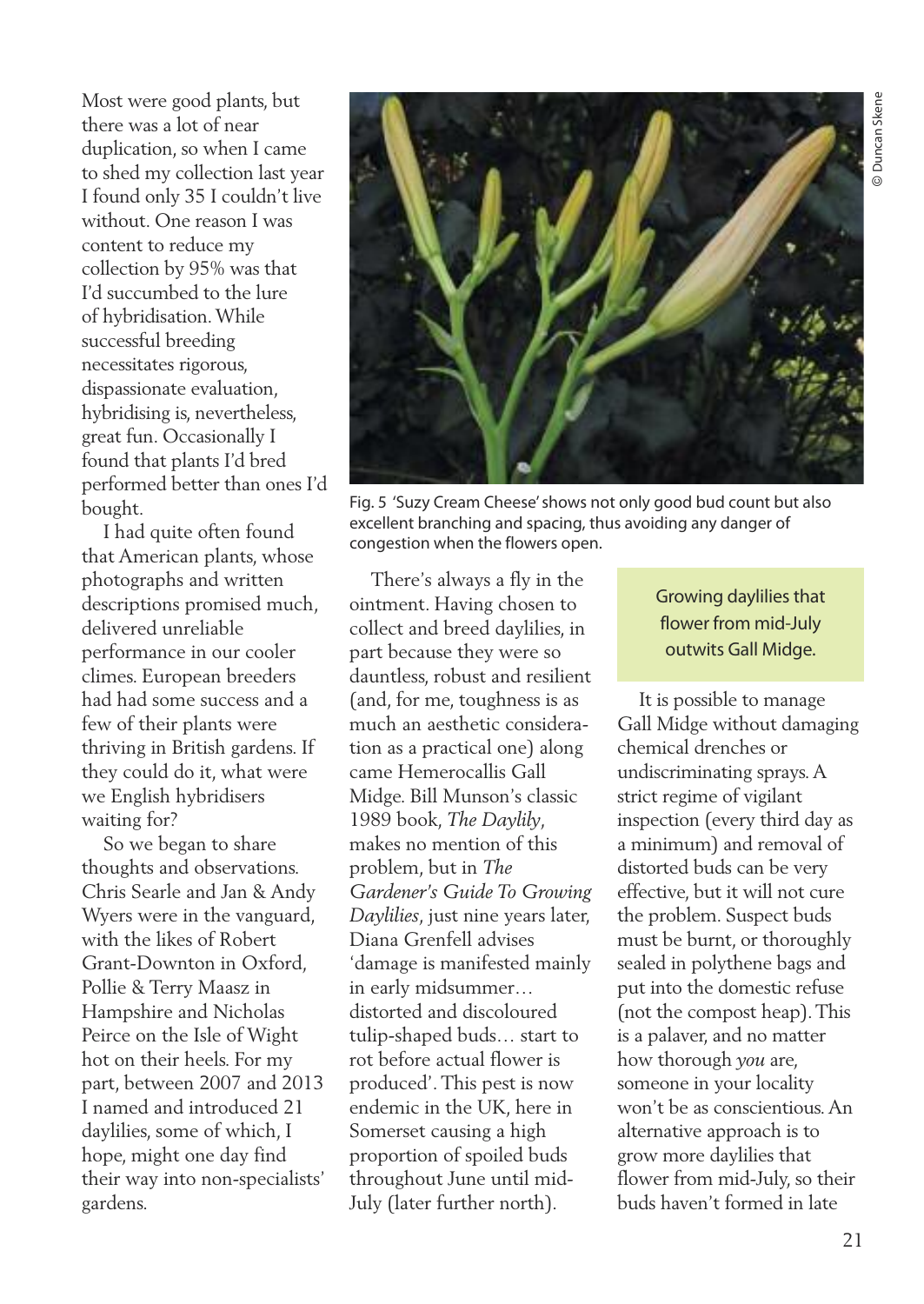Most were good plants, but there was a lot of near duplication, so when I came to shed my collection last year I found only 35 I couldn't live without. One reason I was content to reduce my collection by 95% was that I'd succumbed to the lure of hybridisation.While successful breeding necessitates rigorous, dispassionate evaluation, hybridising is, nevertheless, great fun. Occasionally I found that plants I'd bred performed better than ones I'd bought.

I had quite often found that American plants, whose photographs and written descriptions promised much, delivered unreliable performance in our cooler climes. European breeders had had some success and a few of their plants were thriving in British gardens. If they could do it, what were we English hybridisers waiting for?

So we began to share thoughts and observations. Chris Searle and Jan & Andy Wyers were in the vanguard, with the likes of Robert Grant-Downton in Oxford, Pollie & Terry Maasz in Hampshire and Nicholas Peirce on the Isle of Wight hot on their heels. For my part, between 2007 and 2013 I named and introduced 21 daylilies, some of which, I hope, might one day find their way into non-specialists' gardens.



Fig. 5 'Suzy Cream Cheese'shows not only good bud count but also excellent branching and spacing, thus avoiding any danger of congestion when the flowers open.

There's always a fly in the ointment. Having chosen to collect and breed daylilies, in part because they were so dauntless, robust and resilient (and, for me, toughness is as much an aesthetic consideration as a practical one) along came Hemerocallis Gall Midge. Bill Munson's classic 1989 book, *The Daylily*, makes no mention of this problem, but in *The Gardener's Guide To Growing Daylilies*, just nine years later, Diana Grenfell advises 'damage is manifested mainly in early midsummer… distorted and discoloured tulip-shaped buds… start to rot before actual flower is produced'.This pest is now endemic in the UK, here in Somerset causing a high proportion of spoiled buds throughout June until mid-July (later further north).

Growing daylilies that flower from mid-July outwits Gall Midge.

It is possible to manage Gall Midge without damaging chemical drenches or undiscriminating sprays.A strict regime of vigilant inspection (every third day as a minimum) and removal of distorted buds can be very effective, but it will not cure the problem. Suspect buds must be burnt, or thoroughly sealed in polythene bags and put into the domestic refuse (not the compost heap).This is a palaver, and no matter how thorough *you* are, someone in your locality won't be as conscientious.An alternative approach is to grow more daylilies that flower from mid-July, so their buds haven't formed in late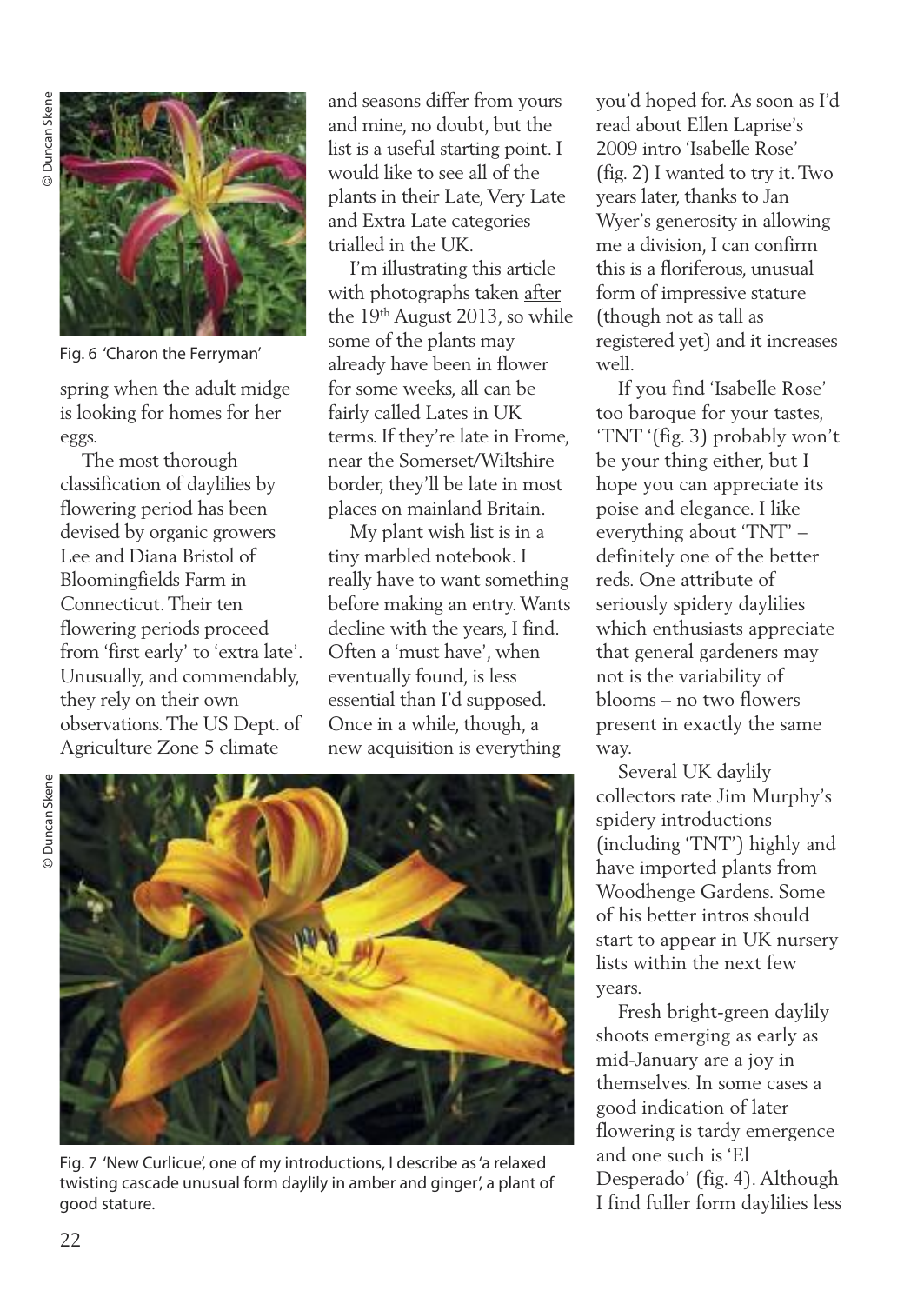

Fig. 6 'Charon the Ferryman'

spring when the adult midge is looking for homes for her eggs.

The most thorough classification of daylilies by flowering period has been devised by organic growers Lee and Diana Bristol of Bloomingfields Farm in Connecticut.Their ten flowering periods proceed from 'first early' to 'extra late'. Unusually, and commendably, they rely on their own observations.The US Dept. of Agriculture Zone 5 climate

and seasons differ from yours and mine, no doubt, but the list is a useful starting point. I would like to see all of the plants in their Late, Very Late and Extra Late categories trialled in the UK.

I'm illustrating this article with photographs taken after the 19<sup>th</sup> August 2013, so while some of the plants may already have been in flower for some weeks, all can be fairly called Lates in UK terms. If they're late in Frome, near the Somerset/Wiltshire border, they'll be late in most places on mainland Britain.

My plant wish list is in a tiny marbled notebook. I really have to want something before making an entry.Wants decline with the years, I find. Often a 'must have', when eventually found, is less essential than I'd supposed. Once in a while, though, a new acquisition is everything



Fig. 7 'New Curlicue', one of my introductions, I describe as'a relaxed twisting cascade unusual form daylily in amber and ginger', a plant of good stature.

you'd hoped for.As soon as I'd read about Ellen Laprise's 2009 intro 'Isabelle Rose' (fig. 2) I wanted to try it.Two years later, thanks to Jan Wyer's generosity in allowing me a division, I can confirm this is a floriferous, unusual form of impressive stature (though not as tall as registered yet) and it increases well.

If you find 'Isabelle Rose' too baroque for your tastes, 'TNT '(fig. 3) probably won't be your thing either, but I hope you can appreciate its poise and elegance. I like everything about 'TNT' – definitely one of the better reds. One attribute of seriously spidery daylilies which enthusiasts appreciate that general gardeners may not is the variability of blooms – no two flowers present in exactly the same way.

Several UK daylily collectors rate Jim Murphy's spidery introductions (including 'TNT') highly and have imported plants from Woodhenge Gardens. Some of his better intros should start to appear in UK nursery lists within the next few years.

Fresh bright-green daylily shoots emerging as early as mid-January are a joy in themselves. In some cases a good indication of later flowering is tardy emergence and one such is 'El Desperado' (fig. 4). Although I find fuller form daylilies less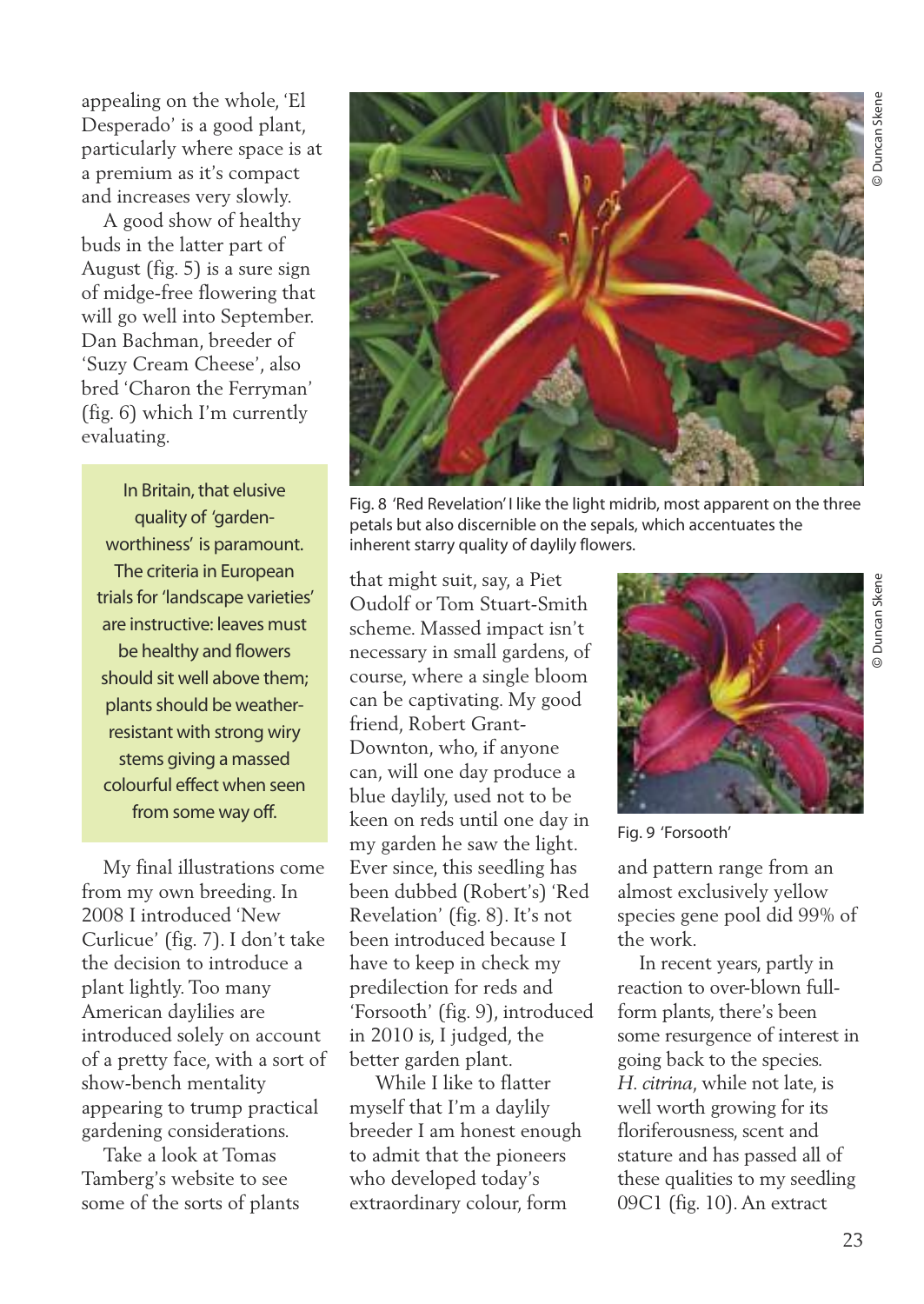appealing on the whole, 'El Desperado' is a good plant, particularly where space is at a premium as it's compact and increases very slowly.

A good show of healthy buds in the latter part of August (fig. 5) is a sure sign of midge-free flowering that will go well into September. Dan Bachman, breeder of 'Suzy Cream Cheese', also bred 'Charon the Ferryman' (fig. 6) which I'm currently evaluating.

In Britain, that elusive quality of 'gardenworthiness' is paramount. The criteria in European trials for 'landscape varieties' are instructive: leaves must be healthy and flowers should sit well above them; plants should be weatherresistant with strong wiry stems giving a massed colourful effect when seen from some way off.

My final illustrations come from my own breeding. In 2008 I introduced 'New Curlicue' (fig. 7). I don't take the decision to introduce a plant lightly. Too many American daylilies are introduced solely on account of a pretty face, with a sort of show-bench mentality appearing to trump practical gardening considerations.

Take a look at Tomas Tamberg's website to see some of the sorts of plants



Fig. 8 'Red Revelation' I like the light midrib, most apparent on the three petals but also discernible on the sepals, which accentuates the inherent starry quality of daylily flowers.

that might suit, say, a Piet Oudolf or Tom Stuart-Smith scheme. Massed impact isn't necessary in small gardens, of course, where a single bloom can be captivating. My good friend, Robert Grant-Downton, who, if anyone can, will one day produce a blue daylily, used not to be keen on reds until one day in my garden he saw the light. Ever since, this seedling has been dubbed (Robert's) 'Red Revelation' (fig. 8). It's not been introduced because I have to keep in check my predilection for reds and 'Forsooth' (fig. 9), introduced in 2010 is, I judged, the better garden plant.

While I like to flatter myself that I'm a daylily breeder I am honest enough to admit that the pioneers who developed today's extraordinary colour, form



Fig. 9 'Forsooth'

and pattern range from an almost exclusively yellow species gene pool did 99% of the work.

In recent years, partly in reaction to over-blown fullform plants, there's been some resurgence of interest in going back to the species. *H. citrina*, while not late, is well worth growing for its floriferousness, scent and stature and has passed all of these qualities to my seedling 09C1 (fig. 10).An extract